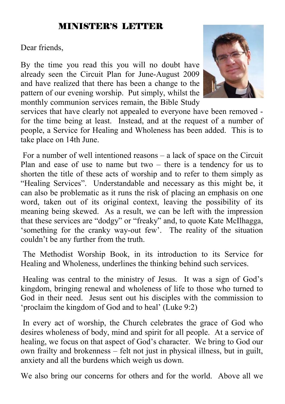#### MINISTER'S LETTER

Dear friends,

By the time you read this you will no doubt have already seen the Circuit Plan for June-August 2009 and have realized that there has been a change to the pattern of our evening worship. Put simply, whilst the monthly communion services remain, the Bible Study



 For a number of well intentioned reasons – a lack of space on the Circuit Plan and ease of use to name but two – there is a tendency for us to shorten the title of these acts of worship and to refer to them simply as "Healing Services". Understandable and necessary as this might be, it can also be problematic as it runs the risk of placing an emphasis on one word, taken out of its original context, leaving the possibility of its meaning being skewed. As a result, we can be left with the impression that these services are "dodgy" or "freaky" and, to quote Kate McIlhagga, 'something for the cranky way-out few'. The reality of the situation couldn't be any further from the truth.

 The Methodist Worship Book, in its introduction to its Service for Healing and Wholeness, underlines the thinking behind such services.

 Healing was central to the ministry of Jesus. It was a sign of God's kingdom, bringing renewal and wholeness of life to those who turned to God in their need. Jesus sent out his disciples with the commission to 'proclaim the kingdom of God and to heal' (Luke 9:2)

 In every act of worship, the Church celebrates the grace of God who desires wholeness of body, mind and spirit for all people. At a service of healing, we focus on that aspect of God's character. We bring to God our own frailty and brokenness – felt not just in physical illness, but in guilt, anxiety and all the burdens which weigh us down.

We also bring our concerns for others and for the world. Above all we

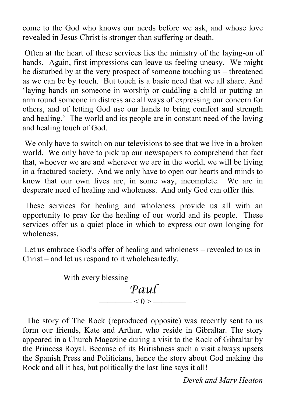come to the God who knows our needs before we ask, and whose love revealed in Jesus Christ is stronger than suffering or death.

 Often at the heart of these services lies the ministry of the laying-on of hands. Again, first impressions can leave us feeling uneasy. We might be disturbed by at the very prospect of someone touching us – threatened as we can be by touch. But touch is a basic need that we all share. And 'laying hands on someone in worship or cuddling a child or putting an arm round someone in distress are all ways of expressing our concern for others, and of letting God use our hands to bring comfort and strength and healing.' The world and its people are in constant need of the loving and healing touch of God.

 We only have to switch on our televisions to see that we live in a broken world. We only have to pick up our newspapers to comprehend that fact that, whoever we are and wherever we are in the world, we will be living in a fractured society. And we only have to open our hearts and minds to know that our own lives are, in some way, incomplete. We are in desperate need of healing and wholeness. And only God can offer this.

 These services for healing and wholeness provide us all with an opportunity to pray for the healing of our world and its people. These services offer us a quiet place in which to express our own longing for wholeness.

 Let us embrace God's offer of healing and wholeness – revealed to us in Christ – and let us respond to it wholeheartedly.

> With every blessing *Paul*   $- < 0 >$  —

 The story of The Rock (reproduced opposite) was recently sent to us form our friends, Kate and Arthur, who reside in Gibraltar. The story appeared in a Church Magazine during a visit to the Rock of Gibraltar by the Princess Royal. Because of its Britishness such a visit always upsets the Spanish Press and Politicians, hence the story about God making the Rock and all it has, but politically the last line says it all!

*Derek and Mary Heaton*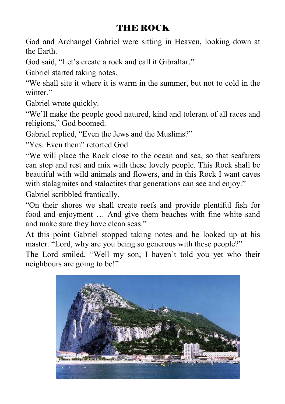### THE ROCK

God and Archangel Gabriel were sitting in Heaven, looking down at the Earth.

God said, "Let's create a rock and call it Gibraltar."

Gabriel started taking notes.

"We shall site it where it is warm in the summer, but not to cold in the winter."

Gabriel wrote quickly.

"We'll make the people good natured, kind and tolerant of all races and religions," God boomed.

Gabriel replied, "Even the Jews and the Muslims?"

"Yes. Even them" retorted God.

"We will place the Rock close to the ocean and sea, so that seafarers can stop and rest and mix with these lovely people. This Rock shall be beautiful with wild animals and flowers, and in this Rock I want caves with stalagmites and stalactites that generations can see and enjoy."

Gabriel scribbled frantically.

"On their shores we shall create reefs and provide plentiful fish for food and enjoyment … And give them beaches with fine white sand and make sure they have clean seas."

At this point Gabriel stopped taking notes and he looked up at his master. "Lord, why are you being so generous with these people?"

The Lord smiled. "Well my son, I haven't told you yet who their neighbours are going to be!"

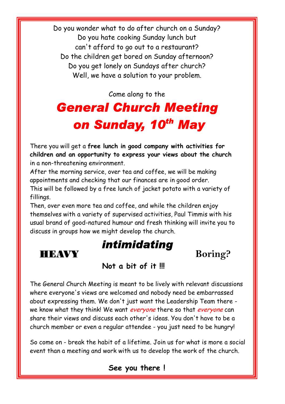Do you wonder what to do after church on a Sunday? Do you hate cooking Sunday lunch but can't afford to go out to a restaurant? Do the children get bored on Sunday afternoon? Do you get lonely on Sundays after church? Well, we have a solution to your problem.

Come along to the

## *General Church Meeting on Sunday, 10th May*

There you will get a **free lunch in good company with activities for children and an opportunity to express your views about the church** in a non-threatening environment.

After the morning service, over tea and coffee, we will be making appointments and checking that our finances are in good order. This will be followed by a free lunch of jacket potato with a variety of fillings.

Then, over even more tea and coffee, and while the children enjoy themselves with a variety of supervised activities, Paul Timmis with his usual brand of good-natured humour and fresh thinking will invite you to discuss in groups how we might develop the church.





Ľ

#### **Not a bit of it !!!**

The General Church Meeting is meant to be lively with relevant discussions where everyone's views are welcomed and nobody need be embarrassed about expressing them. We don't just want the Leadership Team there we know what they think! We want everyone there so that everyone can share their views and discuss each other's ideas. You don't have to be a church member or even a regular attendee - you just need to be hungry!

So come on - break the habit of a lifetime. Join us for what is more a social event than a meeting and work with us to develop the work of the church.

#### **See you there !**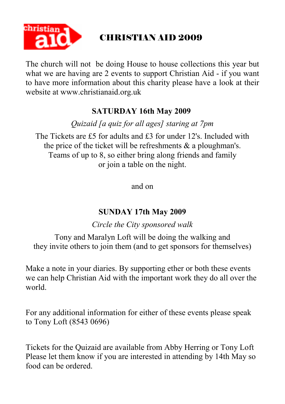

## CHRISTIAN AID 2009

The church will not be doing House to house collections this year but what we are having are 2 events to support Christian Aid - if you want to have more information about this charity please have a look at their website at www.christianaid.org.uk

#### **SATURDAY 16th May 2009**

*Quizaid [a quiz for all ages] staring at 7pm* 

The Tickets are £5 for adults and £3 for under 12's. Included with the price of the ticket will be refreshments & a ploughman's. Teams of up to 8, so either bring along friends and family or join a table on the night.

and on

#### **SUNDAY 17th May 2009**

*Circle the City sponsored walk* 

Tony and Maralyn Loft will be doing the walking and they invite others to join them (and to get sponsors for themselves)

Make a note in your diaries. By supporting ether or both these events we can help Christian Aid with the important work they do all over the world.

For any additional information for either of these events please speak to Tony Loft (8543 0696)

Tickets for the Quizaid are available from Abby Herring or Tony Loft Please let them know if you are interested in attending by 14th May so food can be ordered.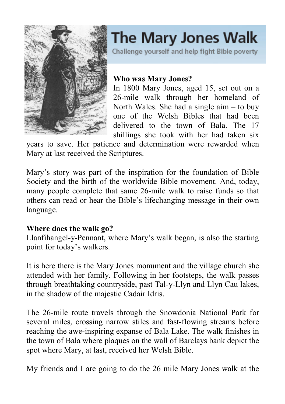

# The Mary Jones Walk

Challenge yourself and help fight Bible poverty

#### **Who was Mary Jones?**

In 1800 Mary Jones, aged 15, set out on a 26-mile walk through her homeland of North Wales. She had a single aim – to buy one of the Welsh Bibles that had been delivered to the town of Bala. The 17 shillings she took with her had taken six

years to save. Her patience and determination were rewarded when Mary at last received the Scriptures.

Mary's story was part of the inspiration for the foundation of Bible Society and the birth of the worldwide Bible movement. And, today, many people complete that same 26-mile walk to raise funds so that others can read or hear the Bible's lifechanging message in their own language.

#### **Where does the walk go?**

Llanfihangel-y-Pennant, where Mary's walk began, is also the starting point for today's walkers.

It is here there is the Mary Jones monument and the village church she attended with her family. Following in her footsteps, the walk passes through breathtaking countryside, past Tal-y-Llyn and Llyn Cau lakes, in the shadow of the majestic Cadair Idris.

The 26-mile route travels through the Snowdonia National Park for several miles, crossing narrow stiles and fast-flowing streams before reaching the awe-inspiring expanse of Bala Lake. The walk finishes in the town of Bala where plaques on the wall of Barclays bank depict the spot where Mary, at last, received her Welsh Bible.

My friends and I are going to do the 26 mile Mary Jones walk at the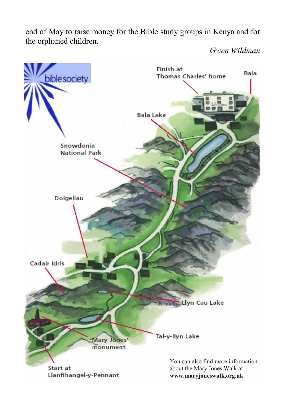end of May to raise money for the Bible study groups in Kenya and for the orphaned children.

*Gwen Wildman* 

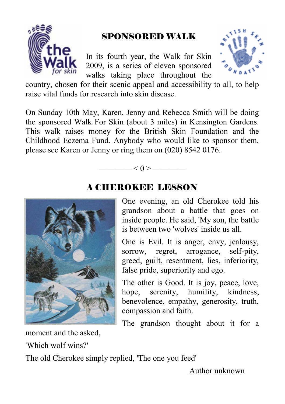

### SPONSORED WALK

In its fourth year, the Walk for Skin 2009, is a series of eleven sponsored walks taking place throughout the



country, chosen for their scenic appeal and accessibility to all, to help raise vital funds for research into skin disease.

On Sunday 10th May, Karen, Jenny and Rebecca Smith will be doing the sponsored Walk For Skin (about 3 miles) in Kensington Gardens. This walk raises money for the British Skin Foundation and the Childhood Eczema Fund. Anybody who would like to sponsor them, please see Karen or Jenny or ring them on (020) 8542 0176.



#### A CHEROKEE LESSON

——— $< 0 >$ ———

One evening, an old Cherokee told his grandson about a battle that goes on inside people. He said, 'My son, the battle is between two 'wolves' inside us all.

One is Evil. It is anger, envy, jealousy, sorrow, regret, arrogance, self-pity, greed, guilt, resentment, lies, inferiority, false pride, superiority and ego.

The other is Good. It is joy, peace, love, hope, serenity, humility, kindness, benevolence, empathy, generosity, truth, compassion and faith.

The grandson thought about it for a

moment and the asked,

'Which wolf wins?'

The old Cherokee simply replied, 'The one you feed'

Author unknown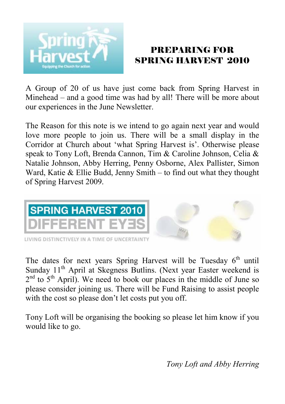

#### PREPARING FOR SPRING HARVEST 2010

A Group of 20 of us have just come back from Spring Harvest in Minehead – and a good time was had by all! There will be more about our experiences in the June Newsletter.

The Reason for this note is we intend to go again next year and would love more people to join us. There will be a small display in the Corridor at Church about 'what Spring Harvest is'. Otherwise please speak to Tony Loft, Brenda Cannon, Tim & Caroline Johnson, Celia & Natalie Johnson, Abby Herring, Penny Osborne, Alex Pallister, Simon Ward, Katie & Ellie Budd, Jenny Smith – to find out what they thought of Spring Harvest 2009.



The dates for next years Spring Harvest will be Tuesday  $6<sup>th</sup>$  until Sunday  $11<sup>th</sup>$  April at Skegness Butlins. (Next year Easter weekend is  $2<sup>nd</sup>$  to  $5<sup>th</sup>$  April). We need to book our places in the middle of June so please consider joining us. There will be Fund Raising to assist people with the cost so please don't let costs put you off.

Tony Loft will be organising the booking so please let him know if you would like to go.

*Tony Loft and Abby Herring*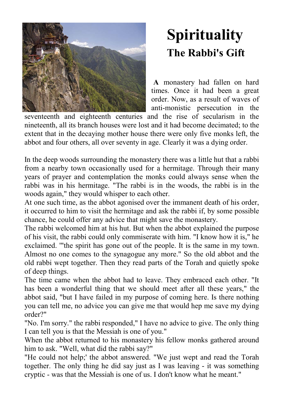

## **Spirituality The Rabbi's Gift**

**A** monastery had fallen on hard times. Once it had been a great order. Now, as a result of waves of anti-monistic persecution in the

seventeenth and eighteenth centuries and the rise of secularism in the nineteenth, all its branch houses were lost and it had become decimated; to the extent that in the decaying mother house there were only five monks left, the abbot and four others, all over seventy in age. Clearly it was a dying order.

In the deep woods surrounding the monastery there was a little hut that a rabbi from a nearby town occasionally used for a hermitage. Through their many years of prayer and contemplation the monks could always sense when the rabbi was in his hermitage. "The rabbi is in the woods, the rabbi is in the woods again," they would whisper to each other.

At one such time, as the abbot agonised over the immanent death of his order, it occurred to him to visit the hermitage and ask the rabbi if, by some possible chance, he could offer any advice that might save the monastery.

The rabbi welcomed him at his hut. But when the abbot explained the purpose of his visit, the rabbi could only commiserate with him. "I know how it is," he exclaimed. '"the spirit has gone out of the people. It is the same in my town. Almost no one comes to the synagogue any more." So the old abbot and the old rabbi wept together. Then they read parts of the Torah and quietly spoke of deep things.

The time came when the abbot had to leave. They embraced each other. "It has been a wonderful thing that we should meet after all these years," the abbot said, "but I have failed in my purpose of coming here. Is there nothing you can tell me, no advice you can give me that would hep me save my dying order?"

"No. I'm sorry." the rabbi responded," I have no advice to give. The only thing I can tell you is that the Messiah is one of you."

When the abbot returned to his monastery his fellow monks gathered around him to ask. "Well, what did the rabbi say?"

"He could not help;' the abbot answered. "We just wept and read the Torah together. The only thing he did say just as I was leaving - it was something cryptic - was that the Messiah is one of us. I don't know what he meant."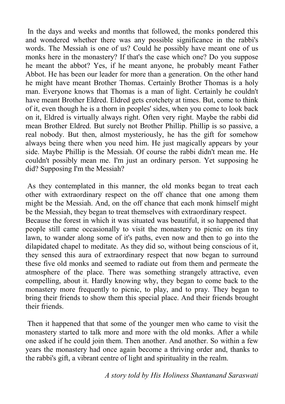In the days and weeks and months that followed, the monks pondered this and wondered whether there was any possible significance in the rabbi's words. The Messiah is one of us? Could he possibly have meant one of us monks here in the monastery? If that's the case which one? Do you suppose he meant the abbot? Yes, if he meant anyone, he probably meant Father Abbot. He has been our leader for more than a generation. On the other hand he might have meant Brother Thomas. Certainly Brother Thomas is a holy man. Everyone knows that Thomas is a man of light. Certainly he couldn't have meant Brother Eldred. Eldred gets crotchety at times. But, come to think of it, even though he is a thorn in peoples' sides, when you come to look back on it, Eldred is virtually always right. Often very right. Maybe the rabbi did mean Brother Eldred. But surely not Brother Phillip. Phillip is so passive, a real nobody. But then, almost mysteriously, he has the gift for somehow always being there when you need him. He just magically appears by your side. Maybe Phillip is the Messiah. Of course the rabbi didn't mean me. He couldn't possibly mean me. I'm just an ordinary person. Yet supposing he did? Supposing I'm the Messiah?

 As they contemplated in this manner, the old monks began to treat each other with extraordinary respect on the off chance that one among them might be the Messiah. And, on the off chance that each monk himself might be the Messiah, they began to treat themselves with extraordinary respect.

Because the forest in which it was situated was beautiful, it so happened that people still came occasionally to visit the monastery to picnic on its tiny lawn, to wander along some of it's paths, even now and then to go into the dilapidated chapel to meditate. As they did so, without being conscious of it, they sensed this aura of extraordinary respect that now began to surround these five old monks and seemed to radiate out from them and permeate the atmosphere of the place. There was something strangely attractive, even compelling, about it. Hardly knowing why, they began to come back to the monastery more frequently to picnic, to play, and to pray. They began to bring their friends to show them this special place. And their friends brought their friends.

 Then it happened that that some of the younger men who came to visit the monastery started to talk more and more with the old monks. After a while one asked if he could join them. Then another. And another. So within a few years the monastery had once again become a thriving order and, thanks to the rabbi's gift, a vibrant centre of light and spirituality in the realm.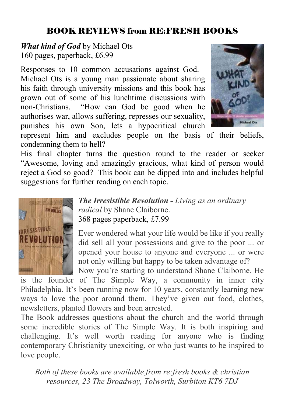## BOOK REVIEWS from RE:FRESH BOOKS

*What kind of God* by Michael Ots 160 pages, paperback, £6.99

Responses to 10 common accusations against God. Michael Ots is a young man passionate about sharing his faith through university missions and this book has grown out of some of his lunchtime discussions with non-Christians. "How can God be good when he authorises war, allows suffering, represses our sexuality, punishes his own Son, lets a hypocritical church



represent him and excludes people on the basis of their beliefs, condemning them to hell?

His final chapter turns the question round to the reader or seeker "Awesome, loving and amazingly gracious, what kind of person would reject a God so good? This book can be dipped into and includes helpful suggestions for further reading on each topic.



*The Irresistible Revolution - Living as an ordinary radical* by Shane Claiborne. 368 pages paperback, £7.99

Ever wondered what your life would be like if you really did sell all your possessions and give to the poor ... or opened your house to anyone and everyone ... or were not only willing but happy to be taken advantage of? Now you're starting to understand Shane Claiborne. He

is the founder of The Simple Way, a community in inner city Philadelphia. It's been running now for 10 years, constantly learning new ways to love the poor around them. They've given out food, clothes, newsletters, planted flowers and been arrested.

The Book addresses questions about the church and the world through some incredible stories of The Simple Way. It is both inspiring and challenging. It's well worth reading for anyone who is finding contemporary Christianity unexciting, or who just wants to be inspired to love people.

*Both of these books are available from re:fresh books & christian resources, 23 The Broadway, Tolworth, Surbiton KT6 7DJ*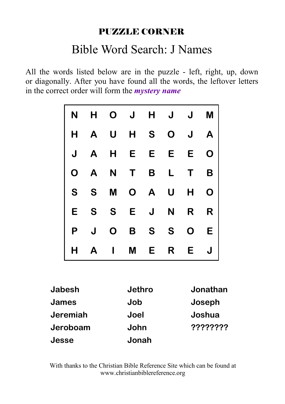#### PUZZLE CORNER

## Bible Word Search: J Names

All the words listed below are in the puzzle - left, right, up, down or diagonally. After you have found all the words, the leftover letters in the correct order will form the *mystery name*

|               | N | н | O | J      | Н | J | J        | M |  |
|---------------|---|---|---|--------|---|---|----------|---|--|
|               | Н | Α | U | Н      | S | O | J        | Α |  |
|               | J | Α | Н | E      | E | E | E        | O |  |
|               | O | A | N | Τ      | B | L | Τ        | B |  |
|               | S | S | M | O      | A | U | Н        | O |  |
|               | Е | S | S | E      | J | N | R        | R |  |
|               | P | J | O | B      | S | S | O        | E |  |
|               | Н | Α | ı | M      | E | R | E        | J |  |
|               |   |   |   |        |   |   |          |   |  |
| <b>Jabesh</b> |   |   |   | Jethro |   |   | Jonathan |   |  |
| James         |   |   |   | Job    |   |   | Joseph   |   |  |
| Jeremiah      |   |   |   | Joel   |   |   | Joshua   |   |  |
| Jeroboam      |   |   |   | John   |   |   | ???????? |   |  |

With thanks to the Christian Bible Reference Site which can be found at www.christianbiblereference.org

**Jonah** 

**Jesse**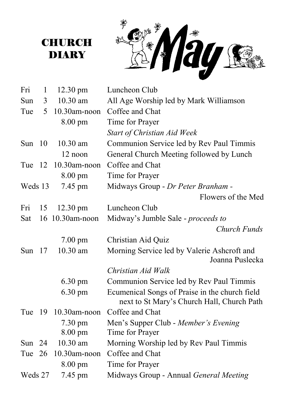到

| Fri      | $\mathbf{1}$ | $12.30 \text{ pm}$ | Luncheon Club                                                                                |  |
|----------|--------------|--------------------|----------------------------------------------------------------------------------------------|--|
| Sun      | 3            | 10.30 am           | All Age Worship led by Mark Williamson                                                       |  |
| Tue      | 5            | 10.30am-noon       | Coffee and Chat                                                                              |  |
|          |              | 8.00 pm            | Time for Prayer                                                                              |  |
|          |              |                    | Start of Christian Aid Week                                                                  |  |
| Sun 10   |              | $10.30$ am         | Communion Service led by Rev Paul Timmis                                                     |  |
|          |              | 12 noon            | General Church Meeting followed by Lunch                                                     |  |
| Tue 12   |              | 10.30am-noon       | Coffee and Chat                                                                              |  |
|          |              | $8.00 \text{ pm}$  | Time for Prayer                                                                              |  |
| Weds 13  |              | 7.45 pm            | Midways Group - Dr Peter Branham -                                                           |  |
|          |              |                    | Flowers of the Med                                                                           |  |
| Fri      | 15           | $12.30 \text{ pm}$ | Luncheon Club                                                                                |  |
| Sat      |              | 16 10.30am-noon    | Midway's Jumble Sale - proceeds to                                                           |  |
|          |              |                    | Church Funds                                                                                 |  |
|          |              | $7.00 \text{ pm}$  | Christian Aid Quiz                                                                           |  |
| Sun $17$ |              | 10.30 am           | Morning Service led by Valerie Ashcroft and<br>Joanna Puslecka                               |  |
|          |              |                    | Christian Aid Walk                                                                           |  |
|          |              | $6.30 \text{ pm}$  | Communion Service led by Rev Paul Timmis                                                     |  |
|          |              | $6.30 \text{ pm}$  | Ecumenical Songs of Praise in the church field<br>next to St Mary's Church Hall, Church Path |  |
| Tue $19$ |              | 10.30am-noon       | Coffee and Chat                                                                              |  |
|          |              | $7.30 \text{ pm}$  | Men's Supper Club - Member's Evening                                                         |  |
|          |              | $8.00 \text{ pm}$  | Time for Prayer                                                                              |  |
| Sun $24$ |              | $10.30$ am         | Morning Worship led by Rev Paul Timmis                                                       |  |
| Tue 26   |              | 10.30am-noon       | Coffee and Chat                                                                              |  |
|          |              | 8.00 pm            | Time for Prayer                                                                              |  |
| Weds 27  |              | 7.45 pm            | Midways Group - Annual General Meeting                                                       |  |

**CHURCH** DIARY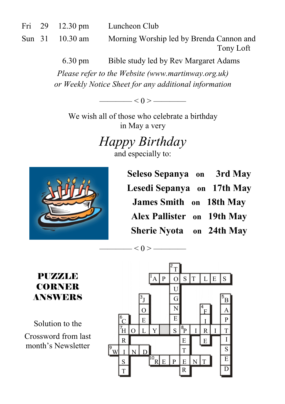| Fri | -29 | $12.30 \text{ pm}$ | Luncheon Club |
|-----|-----|--------------------|---------------|
|-----|-----|--------------------|---------------|

Sun 31 10.30 am Morning Worship led by Brenda Cannon and Tony Loft

6.30 pm Bible study led by Rev Margaret Adams

*Please refer to the Website (www.martinway.org.uk) or Weekly Notice Sheet for any additional information* 

———— < 0 > ————

We wish all of those who celebrate a birthday in May a very

> *Happy Birthday*  and especially to:

 $<$  0 >  $-$ 



**Seleso Sepanya on 3rd May Lesedi Sepanya on 17th May James Smith on 18th May Alex Pallister on 19th May Sherie Nyota on 24th May**

PUZZLE CORNER ANSWERS

Solution to the Crossword from last month's Newsletter